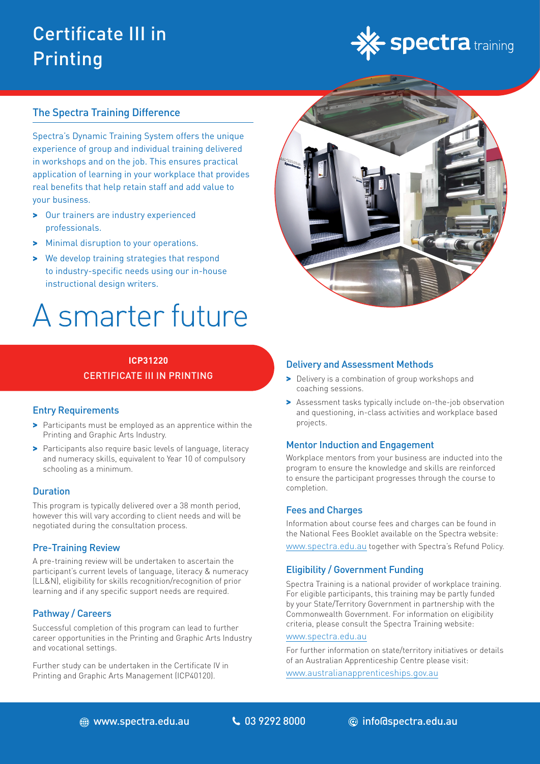## Certificate III in Printing



#### The Spectra Training Difference

Spectra's Dynamic Training System offers the unique experience of group and individual training delivered in workshops and on the job. This ensures practical application of learning in your workplace that provides real benefits that help retain staff and add value to your business.

- > Our trainers are industry experienced professionals.
- > Minimal disruption to your operations.
- > We develop training strategies that respond to industry-specific needs using our in-house instructional design writers.

# A smarter future

#### **ICP31220** CERTIFICATE III IN PRINTING

#### Entry Requirements

- > Participants must be employed as an apprentice within the Printing and Graphic Arts Industry.
- > Participants also require basic levels of language, literacy and numeracy skills, equivalent to Year 10 of compulsory schooling as a minimum.

#### **Duration**

This program is typically delivered over a 38 month period, however this will vary according to client needs and will be negotiated during the consultation process.

#### Pre-Training Review

A pre-training review will be undertaken to ascertain the participant's current levels of language, literacy & numeracy (LL&N), eligibility for skills recognition/recognition of prior learning and if any specific support needs are required.

#### Pathway / Careers

Successful completion of this program can lead to further career opportunities in the Printing and Graphic Arts Industry and vocational settings.

Further study can be undertaken in the Certificate IV in Printing and Graphic Arts Management (ICP40120).



#### Delivery and Assessment Methods

- > Delivery is a combination of group workshops and coaching sessions.
- > Assessment tasks typically include on-the-job observation and questioning, in-class activities and workplace based projects.

#### Mentor Induction and Engagement

Workplace mentors from your business are inducted into the program to ensure the knowledge and skills are reinforced to ensure the participant progresses through the course to completion.

#### Fees and Charges

Information about course fees and charges can be found in the National Fees Booklet available on the Spectra website: [www.spectra.edu.au](https://www.spectra.edu.au/) together with Spectra's Refund Policy.

#### Eligibility / Government Funding

Spectra Training is a national provider of workplace training. For eligible participants, this training may be partly funded by your State/Territory Government in partnership with the Commonwealth Government. For information on eligibility criteria, please consult the Spectra Training website:

#### [www.spectra.edu.au](https://www.spectra.edu.au/)

For further information on state/territory initiatives or details of an Australian Apprenticeship Centre please visit:

[www.australianapprenticeships.gov.au](https://www.australianapprenticeships.gov.au/)